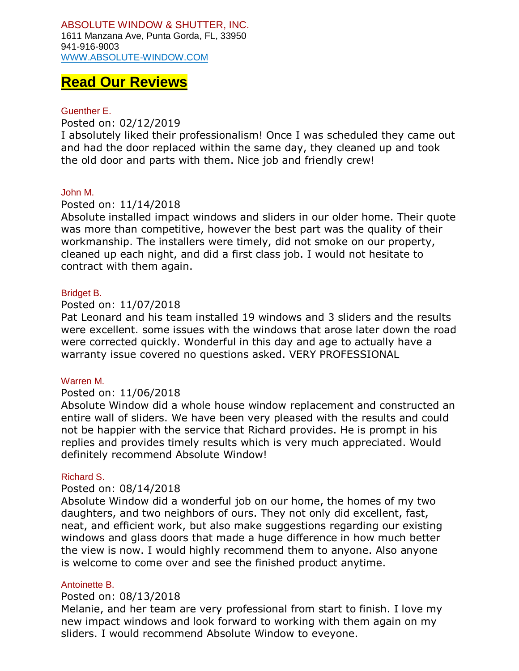# **Read Our Reviews**

# Guenther E.

Posted on: 02/12/2019

I absolutely liked their professionalism! Once I was scheduled they came out and had the door replaced within the same day, they cleaned up and took the old door and parts with them. Nice job and friendly crew!

# John M.

# Posted on: 11/14/2018

Absolute installed impact windows and sliders in our older home. Their quote was more than competitive, however the best part was the quality of their workmanship. The installers were timely, did not smoke on our property, cleaned up each night, and did a first class job. I would not hesitate to contract with them again.

# Bridget B.

# Posted on: 11/07/2018

Pat Leonard and his team installed 19 windows and 3 sliders and the results were excellent. some issues with the windows that arose later down the road were corrected quickly. Wonderful in this day and age to actually have a warranty issue covered no questions asked. VERY PROFESSIONAL

# Warren M.

# Posted on: 11/06/2018

Absolute Window did a whole house window replacement and constructed an entire wall of sliders. We have been very pleased with the results and could not be happier with the service that Richard provides. He is prompt in his replies and provides timely results which is very much appreciated. Would definitely recommend Absolute Window!

# Richard S.

# Posted on: 08/14/2018

Absolute Window did a wonderful job on our home, the homes of my two daughters, and two neighbors of ours. They not only did excellent, fast, neat, and efficient work, but also make suggestions regarding our existing windows and glass doors that made a huge difference in how much better the view is now. I would highly recommend them to anyone. Also anyone is welcome to come over and see the finished product anytime.

# Antoinette B.

# Posted on: 08/13/2018

Melanie, and her team are very professional from start to finish. I love my new impact windows and look forward to working with them again on my sliders. I would recommend Absolute Window to eveyone.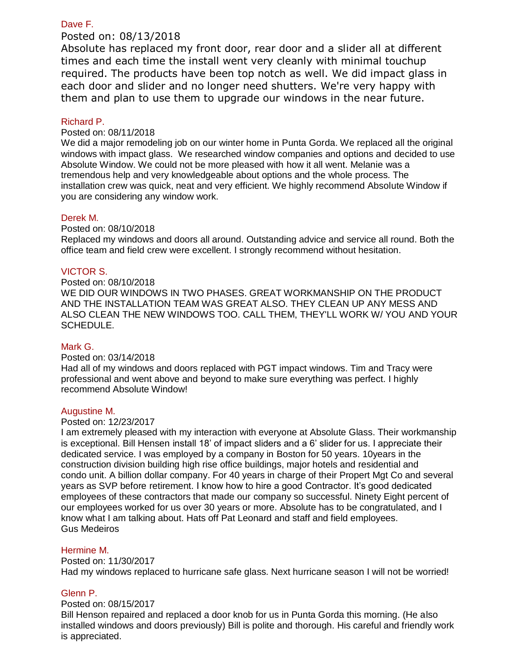# Dave F.

# Posted on: 08/13/2018

Absolute has replaced my front door, rear door and a slider all at different times and each time the install went very cleanly with minimal touchup required. The products have been top notch as well. We did impact glass in each door and slider and no longer need shutters. We're very happy with them and plan to use them to upgrade our windows in the near future.

# Richard P.

# Posted on: 08/11/2018

We did a major remodeling job on our winter home in Punta Gorda. We replaced all the original windows with impact glass. We researched window companies and options and decided to use Absolute Window. We could not be more pleased with how it all went. Melanie was a tremendous help and very knowledgeable about options and the whole process. The installation crew was quick, neat and very efficient. We highly recommend Absolute Window if you are considering any window work.

## Derek M.

## Posted on: 08/10/2018

Replaced my windows and doors all around. Outstanding advice and service all round. Both the office team and field crew were excellent. I strongly recommend without hesitation.

# VICTOR S.

# Posted on: 08/10/2018

WE DID OUR WINDOWS IN TWO PHASES. GREAT WORKMANSHIP ON THE PRODUCT AND THE INSTALLATION TEAM WAS GREAT ALSO. THEY CLEAN UP ANY MESS AND ALSO CLEAN THE NEW WINDOWS TOO. CALL THEM, THEY'LL WORK W/ YOU AND YOUR SCHEDULE.

# Mark G.

#### Posted on: 03/14/2018

Had all of my windows and doors replaced with PGT impact windows. Tim and Tracy were professional and went above and beyond to make sure everything was perfect. I highly recommend Absolute Window!

#### Augustine M.

#### Posted on: 12/23/2017

I am extremely pleased with my interaction with everyone at Absolute Glass. Their workmanship is exceptional. Bill Hensen install 18' of impact sliders and a 6' slider for us. I appreciate their dedicated service. I was employed by a company in Boston for 50 years. 10years in the construction division building high rise office buildings, major hotels and residential and condo unit. A billion dollar company. For 40 years in charge of their Propert Mgt Co and several years as SVP before retirement. I know how to hire a good Contractor. It's good dedicated employees of these contractors that made our company so successful. Ninety Eight percent of our employees worked for us over 30 years or more. Absolute has to be congratulated, and I know what I am talking about. Hats off Pat Leonard and staff and field employees. Gus Medeiros

# Hermine M.

# Posted on: 11/30/2017 Had my windows replaced to hurricane safe glass. Next hurricane season I will not be worried!

# Glenn P.

## Posted on: 08/15/2017

Bill Henson repaired and replaced a door knob for us in Punta Gorda this morning. (He also installed windows and doors previously) Bill is polite and thorough. His careful and friendly work is appreciated.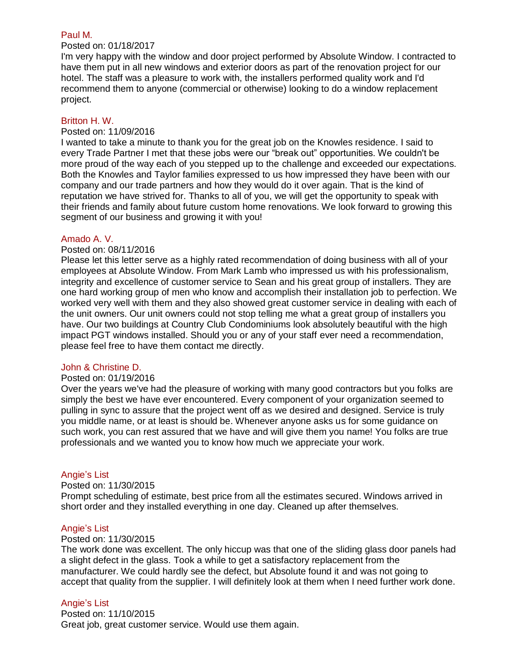#### Paul M.

# Posted on: 01/18/2017

I'm very happy with the window and door project performed by Absolute Window. I contracted to have them put in all new windows and exterior doors as part of the renovation project for our hotel. The staff was a pleasure to work with, the installers performed quality work and I'd recommend them to anyone (commercial or otherwise) looking to do a window replacement project.

#### Britton H. W.

#### Posted on: 11/09/2016

I wanted to take a minute to thank you for the great job on the Knowles residence. I said to every Trade Partner I met that these jobs were our "break out" opportunities. We couldn't be more proud of the way each of you stepped up to the challenge and exceeded our expectations. Both the Knowles and Taylor families expressed to us how impressed they have been with our company and our trade partners and how they would do it over again. That is the kind of reputation we have strived for. Thanks to all of you, we will get the opportunity to speak with their friends and family about future custom home renovations. We look forward to growing this segment of our business and growing it with you!

## Amado A. V.

#### Posted on: 08/11/2016

Please let this letter serve as a highly rated recommendation of doing business with all of your employees at Absolute Window. From Mark Lamb who impressed us with his professionalism, integrity and excellence of customer service to Sean and his great group of installers. They are one hard working group of men who know and accomplish their installation job to perfection. We worked very well with them and they also showed great customer service in dealing with each of the unit owners. Our unit owners could not stop telling me what a great group of installers you have. Our two buildings at Country Club Condominiums look absolutely beautiful with the high impact PGT windows installed. Should you or any of your staff ever need a recommendation, please feel free to have them contact me directly.

# John & Christine D.

#### Posted on: 01/19/2016

Over the years we've had the pleasure of working with many good contractors but you folks are simply the best we have ever encountered. Every component of your organization seemed to pulling in sync to assure that the project went off as we desired and designed. Service is truly you middle name, or at least is should be. Whenever anyone asks us for some guidance on such work, you can rest assured that we have and will give them you name! You folks are true professionals and we wanted you to know how much we appreciate your work.

# Angie's List

#### Posted on: 11/30/2015

Prompt scheduling of estimate, best price from all the estimates secured. Windows arrived in short order and they installed everything in one day. Cleaned up after themselves.

#### Angie's List

#### Posted on: 11/30/2015

The work done was excellent. The only hiccup was that one of the sliding glass door panels had a slight defect in the glass. Took a while to get a satisfactory replacement from the manufacturer. We could hardly see the defect, but Absolute found it and was not going to accept that quality from the supplier. I will definitely look at them when I need further work done.

# Angie's List

Posted on: 11/10/2015 Great job, great customer service. Would use them again.